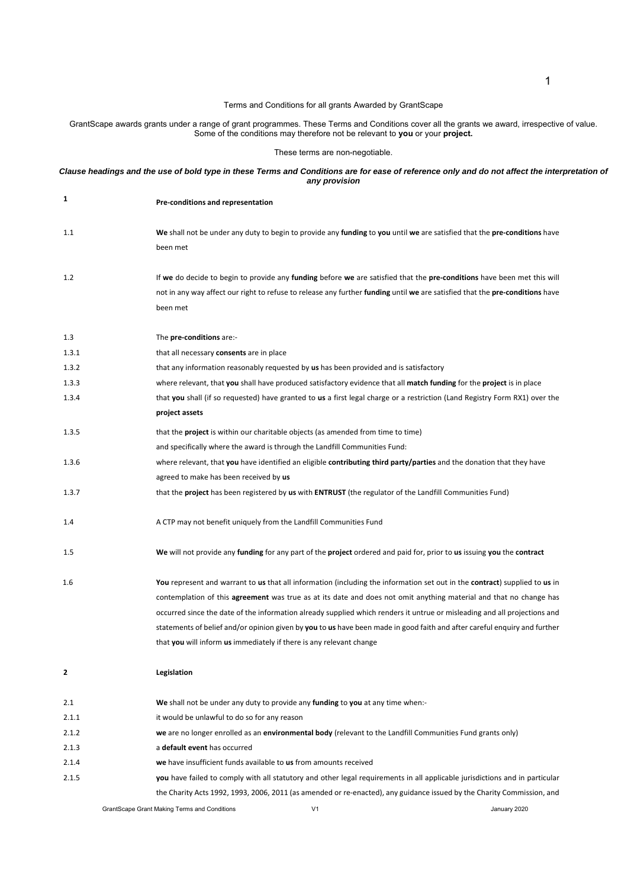## Terms and Conditions for all grants Awarded by GrantScape

GrantScape awards grants under a range of grant programmes. These Terms and Conditions cover all the grants we award, irrespective of value. Some of the conditions may therefore not be relevant to **you** or your **project.** 

These terms are non-negotiable.

## Clause headings and the use of bold type in these Terms and Conditions are for ease of reference only and do not affect the interpretation of *any provision*

| 1     | Pre-conditions and representation                                                                                                                                                                                                                                                                                                                                                                                                                                                                                 |
|-------|-------------------------------------------------------------------------------------------------------------------------------------------------------------------------------------------------------------------------------------------------------------------------------------------------------------------------------------------------------------------------------------------------------------------------------------------------------------------------------------------------------------------|
| 1.1   | We shall not be under any duty to begin to provide any funding to you until we are satisfied that the pre-conditions have<br>been met                                                                                                                                                                                                                                                                                                                                                                             |
| 1.2   | If we do decide to begin to provide any funding before we are satisfied that the pre-conditions have been met this will<br>not in any way affect our right to refuse to release any further funding until we are satisfied that the pre-conditions have<br>been met                                                                                                                                                                                                                                               |
| 1.3   | The pre-conditions are:-                                                                                                                                                                                                                                                                                                                                                                                                                                                                                          |
| 1.3.1 | that all necessary consents are in place                                                                                                                                                                                                                                                                                                                                                                                                                                                                          |
| 1.3.2 | that any information reasonably requested by us has been provided and is satisfactory                                                                                                                                                                                                                                                                                                                                                                                                                             |
| 1.3.3 | where relevant, that you shall have produced satisfactory evidence that all match funding for the project is in place                                                                                                                                                                                                                                                                                                                                                                                             |
| 1.3.4 | that you shall (if so requested) have granted to us a first legal charge or a restriction (Land Registry Form RX1) over the<br>project assets                                                                                                                                                                                                                                                                                                                                                                     |
| 1.3.5 | that the <b>project</b> is within our charitable objects (as amended from time to time)                                                                                                                                                                                                                                                                                                                                                                                                                           |
|       | and specifically where the award is through the Landfill Communities Fund:                                                                                                                                                                                                                                                                                                                                                                                                                                        |
| 1.3.6 | where relevant, that you have identified an eligible contributing third party/parties and the donation that they have                                                                                                                                                                                                                                                                                                                                                                                             |
|       | agreed to make has been received by us                                                                                                                                                                                                                                                                                                                                                                                                                                                                            |
| 1.3.7 | that the <b>project</b> has been registered by us with <b>ENTRUST</b> (the regulator of the Landfill Communities Fund)                                                                                                                                                                                                                                                                                                                                                                                            |
| 1.4   | A CTP may not benefit uniquely from the Landfill Communities Fund                                                                                                                                                                                                                                                                                                                                                                                                                                                 |
| 1.5   | We will not provide any funding for any part of the project ordered and paid for, prior to us issuing you the contract                                                                                                                                                                                                                                                                                                                                                                                            |
| 1.6   | You represent and warrant to us that all information (including the information set out in the contract) supplied to us in<br>contemplation of this <b>agreement</b> was true as at its date and does not omit anything material and that no change has<br>occurred since the date of the information already supplied which renders it untrue or misleading and all projections and<br>statements of belief and/or opinion given by you to us have been made in good faith and after careful enquiry and further |
|       | that you will inform us immediately if there is any relevant change                                                                                                                                                                                                                                                                                                                                                                                                                                               |
| 2     | Legislation                                                                                                                                                                                                                                                                                                                                                                                                                                                                                                       |
| 2.1   | We shall not be under any duty to provide any funding to you at any time when:-                                                                                                                                                                                                                                                                                                                                                                                                                                   |
| 2.1.1 | it would be unlawful to do so for any reason                                                                                                                                                                                                                                                                                                                                                                                                                                                                      |
| 2.1.2 | we are no longer enrolled as an environmental body (relevant to the Landfill Communities Fund grants only)                                                                                                                                                                                                                                                                                                                                                                                                        |
| 2.1.3 | a default event has occurred                                                                                                                                                                                                                                                                                                                                                                                                                                                                                      |
| 2.1.4 | we have insufficient funds available to us from amounts received                                                                                                                                                                                                                                                                                                                                                                                                                                                  |
| 2.1.5 | you have failed to comply with all statutory and other legal requirements in all applicable jurisdictions and in particular                                                                                                                                                                                                                                                                                                                                                                                       |
|       | the Charity Acts 1992, 1993, 2006, 2011 (as amended or re-enacted), any guidance issued by the Charity Commission, and                                                                                                                                                                                                                                                                                                                                                                                            |
|       | GrantScape Grant Making Terms and Conditions<br>January 2020<br>V1                                                                                                                                                                                                                                                                                                                                                                                                                                                |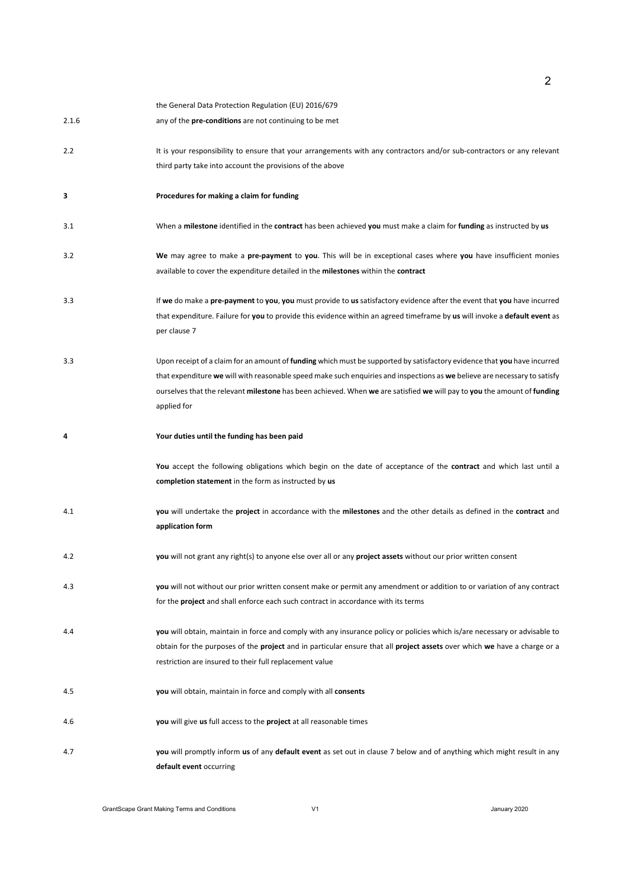|       | the General Data Protection Regulation (EU) 2016/679                                                                                                                                              |
|-------|---------------------------------------------------------------------------------------------------------------------------------------------------------------------------------------------------|
| 2.1.6 | any of the <b>pre-conditions</b> are not continuing to be met                                                                                                                                     |
| 2.2   | It is your responsibility to ensure that your arrangements with any contractors and/or sub-contractors or any relevant                                                                            |
|       | third party take into account the provisions of the above                                                                                                                                         |
| 3     | Procedures for making a claim for funding                                                                                                                                                         |
| 3.1   | When a milestone identified in the contract has been achieved you must make a claim for funding as instructed by us                                                                               |
| 3.2   | We may agree to make a pre-payment to you. This will be in exceptional cases where you have insufficient monies                                                                                   |
|       | available to cover the expenditure detailed in the milestones within the contract                                                                                                                 |
| 3.3   | If we do make a pre-payment to you, you must provide to us satisfactory evidence after the event that you have incurred                                                                           |
|       | that expenditure. Failure for you to provide this evidence within an agreed timeframe by us will invoke a default event as<br>per clause 7                                                        |
| 3.3   | Upon receipt of a claim for an amount of <b>funding</b> which must be supported by satisfactory evidence that you have incurred                                                                   |
|       | that expenditure we will with reasonable speed make such enquiries and inspections as we believe are necessary to satisfy                                                                         |
|       | ourselves that the relevant milestone has been achieved. When we are satisfied we will pay to you the amount of funding<br>applied for                                                            |
| 4     | Your duties until the funding has been paid                                                                                                                                                       |
|       | You accept the following obligations which begin on the date of acceptance of the contract and which last until a                                                                                 |
|       | completion statement in the form as instructed by us                                                                                                                                              |
| 4.1   | you will undertake the project in accordance with the milestones and the other details as defined in the contract and                                                                             |
|       | application form                                                                                                                                                                                  |
| 4.2   | you will not grant any right(s) to anyone else over all or any project assets without our prior written consent                                                                                   |
| 4.3   | you will not without our prior written consent make or permit any amendment or addition to or variation of any contract                                                                           |
|       | for the <b>project</b> and shall enforce each such contract in accordance with its terms                                                                                                          |
| 4.4   | you will obtain, maintain in force and comply with any insurance policy or policies which is/are necessary or advisable to                                                                        |
|       | obtain for the purposes of the <b>project</b> and in particular ensure that all <b>project assets</b> over which we have a charge or a<br>restriction are insured to their full replacement value |
|       |                                                                                                                                                                                                   |
| 4.5   | you will obtain, maintain in force and comply with all consents                                                                                                                                   |
| 4.6   | you will give us full access to the project at all reasonable times                                                                                                                               |
| 4.7   | you will promptly inform us of any default event as set out in clause 7 below and of anything which might result in any                                                                           |
|       | default event occurring                                                                                                                                                                           |

2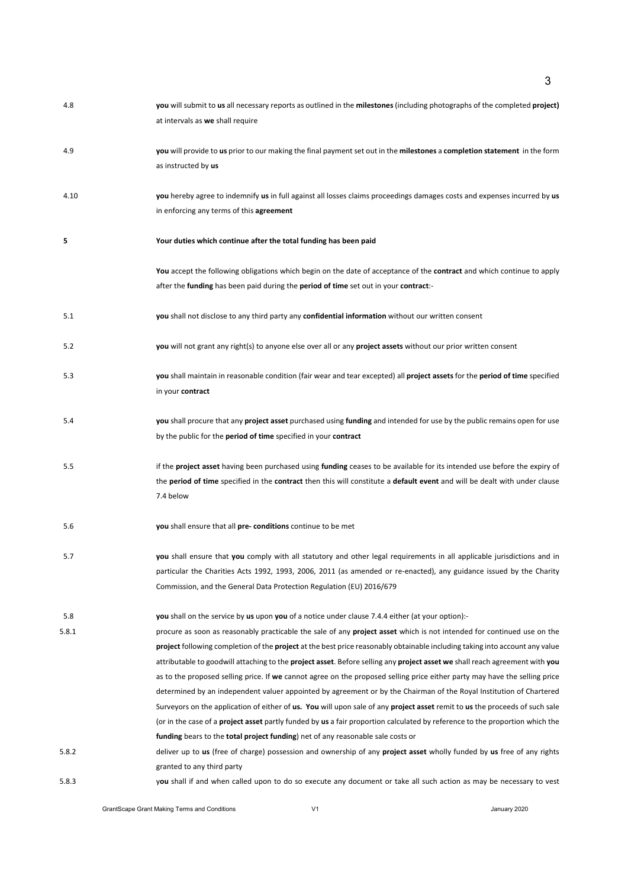| 4.8   | you will submit to us all necessary reports as outlined in the milestones (including photographs of the completed project)<br>at intervals as we shall require                                                                                                                                                                                                                                                                                                                                                                                                                                                                                                                                                                                                                                                                                                                                                                                                                                                                         |
|-------|----------------------------------------------------------------------------------------------------------------------------------------------------------------------------------------------------------------------------------------------------------------------------------------------------------------------------------------------------------------------------------------------------------------------------------------------------------------------------------------------------------------------------------------------------------------------------------------------------------------------------------------------------------------------------------------------------------------------------------------------------------------------------------------------------------------------------------------------------------------------------------------------------------------------------------------------------------------------------------------------------------------------------------------|
| 4.9   | you will provide to us prior to our making the final payment set out in the milestones a completion statement in the form<br>as instructed by us                                                                                                                                                                                                                                                                                                                                                                                                                                                                                                                                                                                                                                                                                                                                                                                                                                                                                       |
| 4.10  | you hereby agree to indemnify us in full against all losses claims proceedings damages costs and expenses incurred by us<br>in enforcing any terms of this agreement                                                                                                                                                                                                                                                                                                                                                                                                                                                                                                                                                                                                                                                                                                                                                                                                                                                                   |
| 5     | Your duties which continue after the total funding has been paid                                                                                                                                                                                                                                                                                                                                                                                                                                                                                                                                                                                                                                                                                                                                                                                                                                                                                                                                                                       |
|       | You accept the following obligations which begin on the date of acceptance of the contract and which continue to apply<br>after the funding has been paid during the period of time set out in your contract:-                                                                                                                                                                                                                                                                                                                                                                                                                                                                                                                                                                                                                                                                                                                                                                                                                         |
| 5.1   | you shall not disclose to any third party any confidential information without our written consent                                                                                                                                                                                                                                                                                                                                                                                                                                                                                                                                                                                                                                                                                                                                                                                                                                                                                                                                     |
| 5.2   | you will not grant any right(s) to anyone else over all or any project assets without our prior written consent                                                                                                                                                                                                                                                                                                                                                                                                                                                                                                                                                                                                                                                                                                                                                                                                                                                                                                                        |
| 5.3   | you shall maintain in reasonable condition (fair wear and tear excepted) all project assets for the period of time specified<br>in your contract                                                                                                                                                                                                                                                                                                                                                                                                                                                                                                                                                                                                                                                                                                                                                                                                                                                                                       |
| 5.4   | you shall procure that any project asset purchased using funding and intended for use by the public remains open for use<br>by the public for the <b>period of time</b> specified in your <b>contract</b>                                                                                                                                                                                                                                                                                                                                                                                                                                                                                                                                                                                                                                                                                                                                                                                                                              |
| 5.5   | if the <b>project asset</b> having been purchased using funding ceases to be available for its intended use before the expiry of<br>the period of time specified in the contract then this will constitute a default event and will be dealt with under clause<br>7.4 below                                                                                                                                                                                                                                                                                                                                                                                                                                                                                                                                                                                                                                                                                                                                                            |
| 5.6   | you shall ensure that all pre- conditions continue to be met                                                                                                                                                                                                                                                                                                                                                                                                                                                                                                                                                                                                                                                                                                                                                                                                                                                                                                                                                                           |
| 5.7   | you shall ensure that you comply with all statutory and other legal requirements in all applicable jurisdictions and in<br>particular the Charities Acts 1992, 1993, 2006, 2011 (as amended or re-enacted), any guidance issued by the Charity<br>Commission, and the General Data Protection Regulation (EU) 2016/679                                                                                                                                                                                                                                                                                                                                                                                                                                                                                                                                                                                                                                                                                                                 |
| 5.8   | you shall on the service by us upon you of a notice under clause 7.4.4 either (at your option):-                                                                                                                                                                                                                                                                                                                                                                                                                                                                                                                                                                                                                                                                                                                                                                                                                                                                                                                                       |
| 5.8.1 | procure as soon as reasonably practicable the sale of any <b>project asset</b> which is not intended for continued use on the<br><b>project</b> following completion of the <b>project</b> at the best price reasonably obtainable including taking into account any value<br>attributable to goodwill attaching to the <b>project asset</b> . Before selling any <b>project asset we</b> shall reach agreement with you<br>as to the proposed selling price. If we cannot agree on the proposed selling price either party may have the selling price<br>determined by an independent valuer appointed by agreement or by the Chairman of the Royal Institution of Chartered<br>Surveyors on the application of either of us. You will upon sale of any project asset remit to us the proceeds of such sale<br>(or in the case of a <b>project asset</b> partly funded by us a fair proportion calculated by reference to the proportion which the<br>funding bears to the total project funding) net of any reasonable sale costs or |
| 5.8.2 | deliver up to us (free of charge) possession and ownership of any project asset wholly funded by us free of any rights<br>granted to any third party                                                                                                                                                                                                                                                                                                                                                                                                                                                                                                                                                                                                                                                                                                                                                                                                                                                                                   |
| 5.8.3 | you shall if and when called upon to do so execute any document or take all such action as may be necessary to vest                                                                                                                                                                                                                                                                                                                                                                                                                                                                                                                                                                                                                                                                                                                                                                                                                                                                                                                    |

3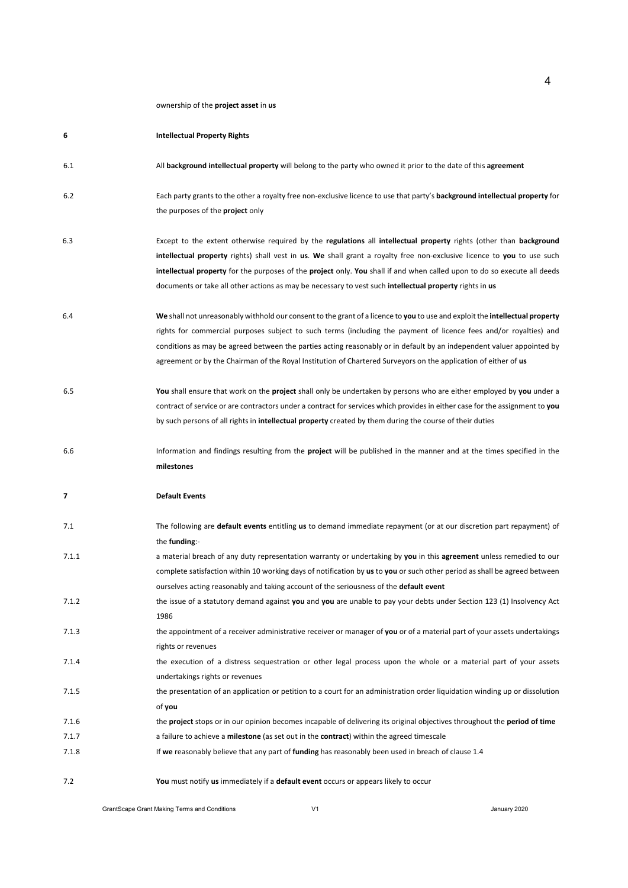## ownership of the **project asset** in **us**

| 6     | <b>Intellectual Property Rights</b>                                                                                                                                                                                                                                                                                                                                                                                                                                                               |
|-------|---------------------------------------------------------------------------------------------------------------------------------------------------------------------------------------------------------------------------------------------------------------------------------------------------------------------------------------------------------------------------------------------------------------------------------------------------------------------------------------------------|
| 6.1   | All background intellectual property will belong to the party who owned it prior to the date of this agreement                                                                                                                                                                                                                                                                                                                                                                                    |
| 6.2   | Each party grants to the other a royalty free non-exclusive licence to use that party's background intellectual property for<br>the purposes of the <b>project</b> only                                                                                                                                                                                                                                                                                                                           |
| 6.3   | Except to the extent otherwise required by the regulations all intellectual property rights (other than background<br>intellectual property rights) shall vest in us. We shall grant a royalty free non-exclusive licence to you to use such<br>intellectual property for the purposes of the project only. You shall if and when called upon to do so execute all deeds<br>documents or take all other actions as may be necessary to vest such <b>intellectual property</b> rights in <b>us</b> |
| 6.4   | We shall not unreasonably withhold our consent to the grant of a licence to you to use and exploit the intellectual property<br>rights for commercial purposes subject to such terms (including the payment of licence fees and/or royalties) and<br>conditions as may be agreed between the parties acting reasonably or in default by an independent valuer appointed by<br>agreement or by the Chairman of the Royal Institution of Chartered Surveyors on the application of either of us     |
| 6.5   | You shall ensure that work on the project shall only be undertaken by persons who are either employed by you under a<br>contract of service or are contractors under a contract for services which provides in either case for the assignment to you<br>by such persons of all rights in <b>intellectual property</b> created by them during the course of their duties                                                                                                                           |
| 6.6   | Information and findings resulting from the <b>project</b> will be published in the manner and at the times specified in the<br>milestones                                                                                                                                                                                                                                                                                                                                                        |
| 7     | <b>Default Events</b>                                                                                                                                                                                                                                                                                                                                                                                                                                                                             |
| 7.1   | The following are default events entitling us to demand immediate repayment (or at our discretion part repayment) of<br>the funding:-                                                                                                                                                                                                                                                                                                                                                             |
| 7.1.1 | a material breach of any duty representation warranty or undertaking by you in this agreement unless remedied to our<br>complete satisfaction within 10 working days of notification by us to you or such other period as shall be agreed between<br>ourselves acting reasonably and taking account of the seriousness of the default event                                                                                                                                                       |
| 7.1.2 | the issue of a statutory demand against you and you are unable to pay your debts under Section 123 (1) Insolvency Act<br>1986                                                                                                                                                                                                                                                                                                                                                                     |
| 7.1.3 | the appointment of a receiver administrative receiver or manager of you or of a material part of your assets undertakings<br>rights or revenues                                                                                                                                                                                                                                                                                                                                                   |
| 7.1.4 | the execution of a distress sequestration or other legal process upon the whole or a material part of your assets<br>undertakings rights or revenues                                                                                                                                                                                                                                                                                                                                              |
| 7.1.5 | the presentation of an application or petition to a court for an administration order liquidation winding up or dissolution<br>of you                                                                                                                                                                                                                                                                                                                                                             |
| 7.1.6 | the <b>project</b> stops or in our opinion becomes incapable of delivering its original objectives throughout the <b>period of time</b>                                                                                                                                                                                                                                                                                                                                                           |
| 7.1.7 | a failure to achieve a <b>milestone</b> (as set out in the <b>contract</b> ) within the agreed timescale                                                                                                                                                                                                                                                                                                                                                                                          |
| 7.1.8 | If we reasonably believe that any part of funding has reasonably been used in breach of clause 1.4                                                                                                                                                                                                                                                                                                                                                                                                |
| 7.2   | You must notify us immediately if a default event occurs or appears likely to occur                                                                                                                                                                                                                                                                                                                                                                                                               |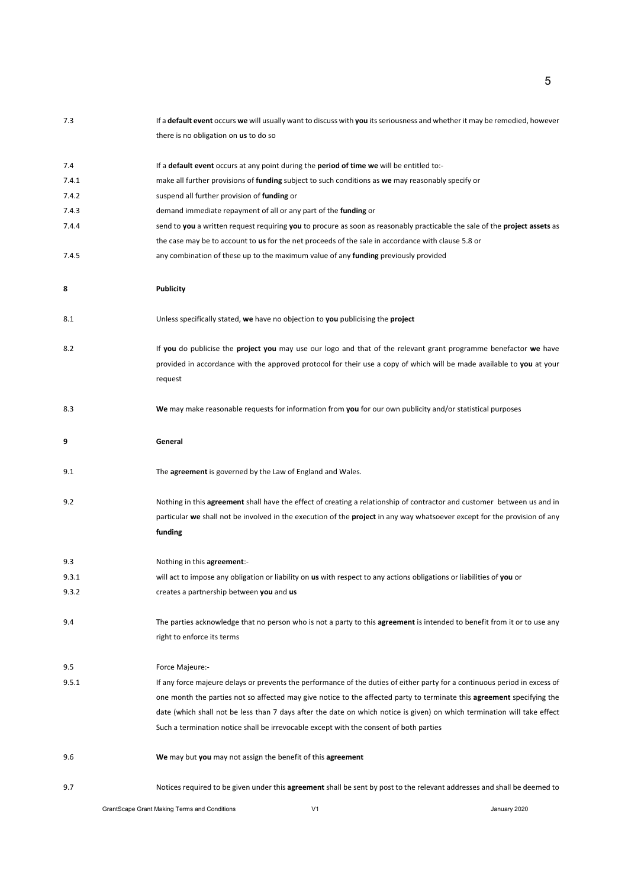| 7.3   | If a default event occurs we will usually want to discuss with you its seriousness and whether it may be remedied, however       |
|-------|----------------------------------------------------------------------------------------------------------------------------------|
|       | there is no obligation on us to do so                                                                                            |
| 7.4   | If a default event occurs at any point during the period of time we will be entitled to:-                                        |
| 7.4.1 | make all further provisions of <b>funding</b> subject to such conditions as we may reasonably specify or                         |
| 7.4.2 | suspend all further provision of funding or                                                                                      |
| 7.4.3 | demand immediate repayment of all or any part of the funding or                                                                  |
| 7.4.4 | send to you a written request requiring you to procure as soon as reasonably practicable the sale of the project assets as       |
|       | the case may be to account to us for the net proceeds of the sale in accordance with clause 5.8 or                               |
| 7.4.5 | any combination of these up to the maximum value of any funding previously provided                                              |
| 8     | <b>Publicity</b>                                                                                                                 |
| 8.1   | Unless specifically stated, we have no objection to you publicising the project                                                  |
| 8.2   | If you do publicise the project you may use our logo and that of the relevant grant programme benefactor we have                 |
|       | provided in accordance with the approved protocol for their use a copy of which will be made available to you at your            |
|       | request                                                                                                                          |
| 8.3   | We may make reasonable requests for information from you for our own publicity and/or statistical purposes                       |
| 9     | General                                                                                                                          |
| 9.1   | The agreement is governed by the Law of England and Wales.                                                                       |
| 9.2   | Nothing in this agreement shall have the effect of creating a relationship of contractor and customer between us and in          |
|       | particular we shall not be involved in the execution of the <b>project</b> in any way whatsoever except for the provision of any |
|       | funding                                                                                                                          |
| 9.3   | Nothing in this agreement:-                                                                                                      |
| 9.3.1 | will act to impose any obligation or liability on us with respect to any actions obligations or liabilities of you or            |
| 9.3.2 | creates a partnership between you and us                                                                                         |
| 9.4   | The parties acknowledge that no person who is not a party to this agreement is intended to benefit from it or to use any         |
|       | right to enforce its terms                                                                                                       |
| 9.5   | Force Majeure:-                                                                                                                  |
| 9.5.1 | If any force majeure delays or prevents the performance of the duties of either party for a continuous period in excess of       |
|       | one month the parties not so affected may give notice to the affected party to terminate this <b>agreement</b> specifying the    |
|       | date (which shall not be less than 7 days after the date on which notice is given) on which termination will take effect         |
|       | Such a termination notice shall be irrevocable except with the consent of both parties                                           |
| 9.6   | We may but you may not assign the benefit of this agreement                                                                      |
| 9.7   | Notices required to be given under this agreement shall be sent by post to the relevant addresses and shall be deemed to         |

GrantScape Grant Making Terms and Conditions **V1** V1 January 2020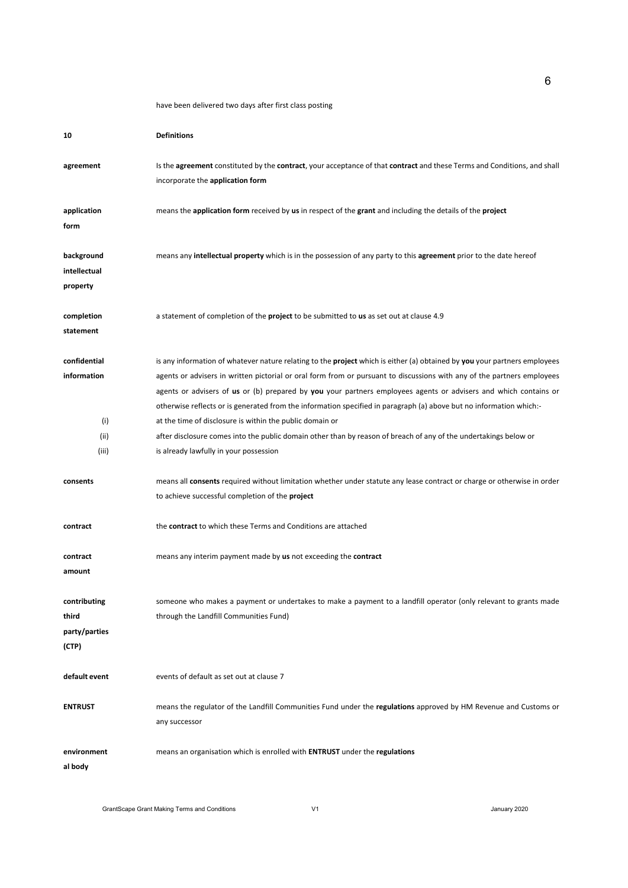have been delivered two days after first class posting

| 10                                                  | <b>Definitions</b>                                                                                                                                                                                                                                                                                                                                                                                                                                                                                                                                                                                                                                                                                                               |
|-----------------------------------------------------|----------------------------------------------------------------------------------------------------------------------------------------------------------------------------------------------------------------------------------------------------------------------------------------------------------------------------------------------------------------------------------------------------------------------------------------------------------------------------------------------------------------------------------------------------------------------------------------------------------------------------------------------------------------------------------------------------------------------------------|
| agreement                                           | Is the agreement constituted by the contract, your acceptance of that contract and these Terms and Conditions, and shall<br>incorporate the application form                                                                                                                                                                                                                                                                                                                                                                                                                                                                                                                                                                     |
| application<br>form                                 | means the application form received by us in respect of the grant and including the details of the project                                                                                                                                                                                                                                                                                                                                                                                                                                                                                                                                                                                                                       |
| background<br>intellectual<br>property              | means any <b>intellectual property</b> which is in the possession of any party to this <b>agreement</b> prior to the date hereof                                                                                                                                                                                                                                                                                                                                                                                                                                                                                                                                                                                                 |
| completion<br>statement                             | a statement of completion of the <b>project</b> to be submitted to <b>us</b> as set out at clause 4.9                                                                                                                                                                                                                                                                                                                                                                                                                                                                                                                                                                                                                            |
| confidential<br>information<br>(i)<br>(ii)<br>(iii) | is any information of whatever nature relating to the <b>project</b> which is either (a) obtained by you your partners employees<br>agents or advisers in written pictorial or oral form from or pursuant to discussions with any of the partners employees<br>agents or advisers of us or (b) prepared by you your partners employees agents or advisers and which contains or<br>otherwise reflects or is generated from the information specified in paragraph (a) above but no information which:-<br>at the time of disclosure is within the public domain or<br>after disclosure comes into the public domain other than by reason of breach of any of the undertakings below or<br>is already lawfully in your possession |
| consents                                            | means all consents required without limitation whether under statute any lease contract or charge or otherwise in order<br>to achieve successful completion of the project                                                                                                                                                                                                                                                                                                                                                                                                                                                                                                                                                       |
| contract                                            | the <b>contract</b> to which these Terms and Conditions are attached                                                                                                                                                                                                                                                                                                                                                                                                                                                                                                                                                                                                                                                             |
| contract<br>amount                                  | means any interim payment made by us not exceeding the contract                                                                                                                                                                                                                                                                                                                                                                                                                                                                                                                                                                                                                                                                  |
| contributing<br>third<br>party/parties<br>(CTP)     | someone who makes a payment or undertakes to make a payment to a landfill operator (only relevant to grants made<br>through the Landfill Communities Fund)                                                                                                                                                                                                                                                                                                                                                                                                                                                                                                                                                                       |
| default event                                       | events of default as set out at clause 7                                                                                                                                                                                                                                                                                                                                                                                                                                                                                                                                                                                                                                                                                         |
| <b>ENTRUST</b>                                      | means the regulator of the Landfill Communities Fund under the regulations approved by HM Revenue and Customs or<br>any successor                                                                                                                                                                                                                                                                                                                                                                                                                                                                                                                                                                                                |
| environment<br>al body                              | means an organisation which is enrolled with <b>ENTRUST</b> under the regulations                                                                                                                                                                                                                                                                                                                                                                                                                                                                                                                                                                                                                                                |